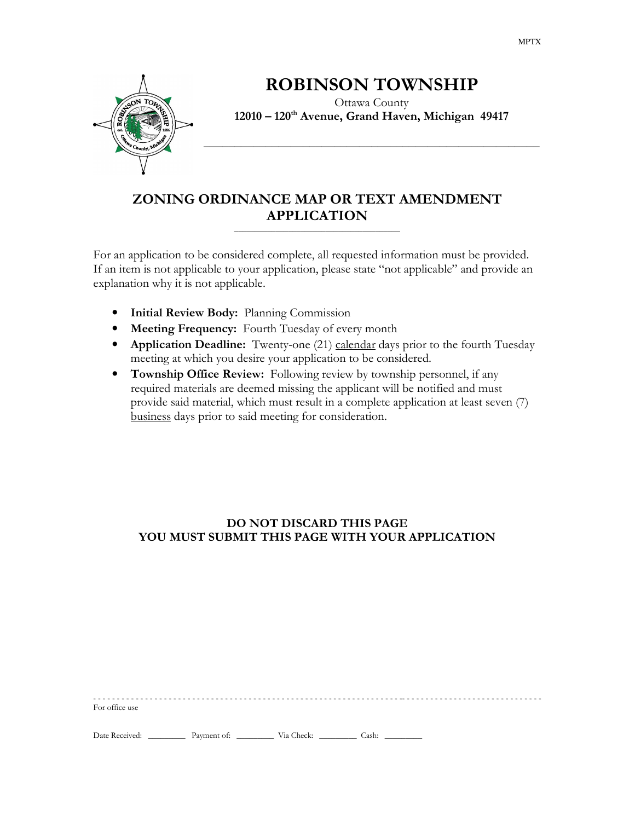

# ROBINSON TOWNSHIP

Ottawa County 12010 – 120<sup>th</sup> Avenue, Grand Haven, Michigan 49417

\_\_\_\_\_\_\_\_\_\_\_\_\_\_\_\_\_\_\_\_\_\_\_\_\_\_\_\_\_\_\_\_\_\_\_\_\_\_\_\_\_\_\_\_\_\_\_\_\_\_\_\_\_\_

## ZONING ORDINANCE MAP OR TEXT AMENDMENT APPLICATION  $\overline{\phantom{a}}$  , and the set of the set of the set of the set of the set of the set of the set of the set of the set of the set of the set of the set of the set of the set of the set of the set of the set of the set of the s

For an application to be considered complete, all requested information must be provided. If an item is not applicable to your application, please state "not applicable" and provide an explanation why it is not applicable.

- Initial Review Body: Planning Commission
- Meeting Frequency: Fourth Tuesday of every month
- Application Deadline: Twenty-one (21) calendar days prior to the fourth Tuesday meeting at which you desire your application to be considered.
- Township Office Review: Following review by township personnel, if any required materials are deemed missing the applicant will be notified and must provide said material, which must result in a complete application at least seven (7) business days prior to said meeting for consideration.

## DO NOT DISCARD THIS PAGE YOU MUST SUBMIT THIS PAGE WITH YOUR APPLICATION

- - - - - - - - - - - - - - - - - - - - - - - - - - - - - - - - - - - - - - - - - - - - - - - - - - - - - - - - - - - - - - - - - -- - - - - - - - - - - - - - - - - - - - - - - - - - - - - - For office use

Date Received: \_\_\_\_\_\_\_\_\_\_\_ Payment of: \_\_\_\_\_\_\_\_\_\_\_ Via Check: \_\_\_\_\_\_\_\_\_\_\_ Cash: \_\_\_\_\_\_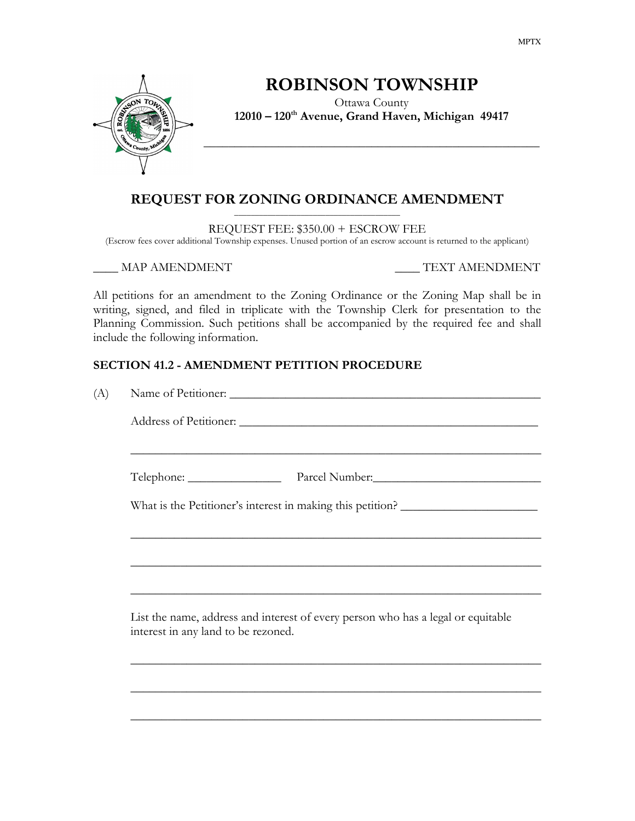

# ROBINSON TOWNSHIP

Ottawa County 12010 – 120<sup>th</sup> Avenue, Grand Haven, Michigan 49417

\_\_\_\_\_\_\_\_\_\_\_\_\_\_\_\_\_\_\_\_\_\_\_\_\_\_\_\_\_\_\_\_\_\_\_\_\_\_\_\_\_\_\_\_\_\_\_\_\_\_\_\_\_\_

#### REQUEST FOR ZONING ORDINANCE AMENDMENT \_\_\_\_\_\_\_\_\_\_\_\_\_\_\_\_\_\_\_\_\_\_\_\_\_\_\_\_\_\_\_\_\_\_\_\_\_\_\_\_

REQUEST FEE: \$350.00 + ESCROW FEE

(Escrow fees cover additional Township expenses. Unused portion of an escrow account is returned to the applicant)

\_\_\_\_ MAP AMENDMENT \_\_\_\_ TEXT AMENDMENT

All petitions for an amendment to the Zoning Ordinance or the Zoning Map shall be in writing, signed, and filed in triplicate with the Township Clerk for presentation to the Planning Commission. Such petitions shall be accompanied by the required fee and shall include the following information.

## SECTION 41.2 - AMENDMENT PETITION PROCEDURE

|                                     | Telephone: Parcel Number: Parcel Number:                                          |
|-------------------------------------|-----------------------------------------------------------------------------------|
|                                     | What is the Petitioner's interest in making this petition?                        |
|                                     | ,我们也不能在这里的人,我们也不能在这里的人,我们也不能在这里的人,我们也不能在这里的人,我们也不能在这里的人,我们也不能在这里的人,我们也不能在这里的人,我们也 |
|                                     |                                                                                   |
|                                     |                                                                                   |
| interest in any land to be rezoned. | List the name, address and interest of every person who has a legal or equitable  |
|                                     |                                                                                   |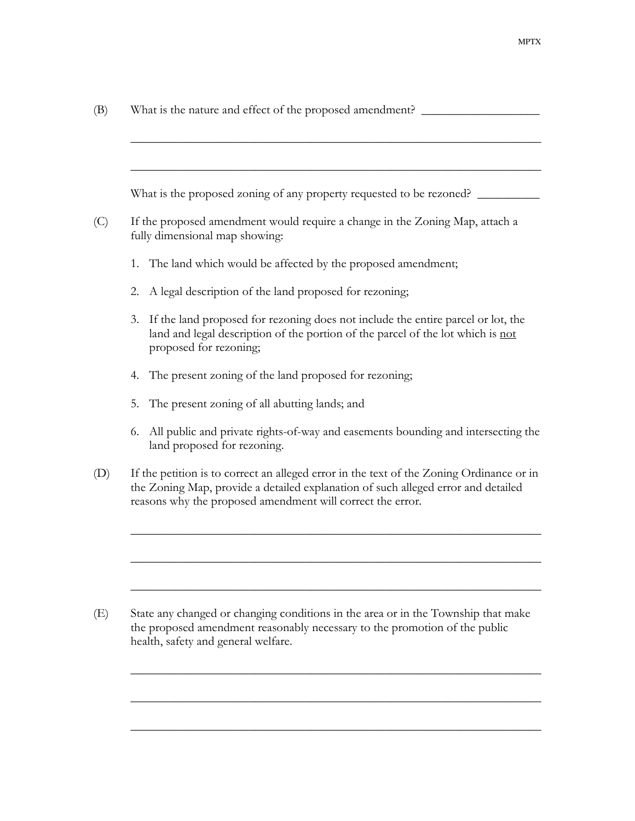|    | What is the proposed zoning of any property requested to be rezoned?                                                                                                                                                                        |  |  |
|----|---------------------------------------------------------------------------------------------------------------------------------------------------------------------------------------------------------------------------------------------|--|--|
|    | If the proposed amendment would require a change in the Zoning Map, attach a<br>fully dimensional map showing:                                                                                                                              |  |  |
| 1. | The land which would be affected by the proposed amendment;                                                                                                                                                                                 |  |  |
| 2. | A legal description of the land proposed for rezoning;                                                                                                                                                                                      |  |  |
| 3. | If the land proposed for rezoning does not include the entire parcel or lot, the<br>land and legal description of the portion of the parcel of the lot which is not<br>proposed for rezoning;                                               |  |  |
| 4. | The present zoning of the land proposed for rezoning;                                                                                                                                                                                       |  |  |
| 5. | The present zoning of all abutting lands; and                                                                                                                                                                                               |  |  |
| 6. | All public and private rights-of-way and easements bounding and intersecting the<br>land proposed for rezoning.                                                                                                                             |  |  |
|    | If the petition is to correct an alleged error in the text of the Zoning Ordinance or in<br>the Zoning Map, provide a detailed explanation of such alleged error and detailed<br>reasons why the proposed amendment will correct the error. |  |  |

(E) State any changed or changing conditions in the area or in the Township that make the proposed amendment reasonably necessary to the promotion of the public health, safety and general welfare.

 $\mathcal{L}=\mathcal{L}=\mathcal{L}=\mathcal{L}=\mathcal{L}=\mathcal{L}=\mathcal{L}=\mathcal{L}=\mathcal{L}=\mathcal{L}=\mathcal{L}=\mathcal{L}=\mathcal{L}=\mathcal{L}=\mathcal{L}=\mathcal{L}=\mathcal{L}=\mathcal{L}=\mathcal{L}=\mathcal{L}=\mathcal{L}=\mathcal{L}=\mathcal{L}=\mathcal{L}=\mathcal{L}=\mathcal{L}=\mathcal{L}=\mathcal{L}=\mathcal{L}=\mathcal{L}=\mathcal{L}=\mathcal{L}=\mathcal{L}=\mathcal{L}=\mathcal{L}=\mathcal{L}=\mathcal{$ 

 $\mathcal{L}=\mathcal{L}=\mathcal{L}=\mathcal{L}=\mathcal{L}=\mathcal{L}=\mathcal{L}=\mathcal{L}=\mathcal{L}=\mathcal{L}=\mathcal{L}=\mathcal{L}=\mathcal{L}=\mathcal{L}=\mathcal{L}=\mathcal{L}=\mathcal{L}=\mathcal{L}=\mathcal{L}=\mathcal{L}=\mathcal{L}=\mathcal{L}=\mathcal{L}=\mathcal{L}=\mathcal{L}=\mathcal{L}=\mathcal{L}=\mathcal{L}=\mathcal{L}=\mathcal{L}=\mathcal{L}=\mathcal{L}=\mathcal{L}=\mathcal{L}=\mathcal{L}=\mathcal{L}=\mathcal{$ 

 $\mathcal{L}=\mathcal{L}=\mathcal{L}=\mathcal{L}=\mathcal{L}=\mathcal{L}=\mathcal{L}=\mathcal{L}=\mathcal{L}=\mathcal{L}=\mathcal{L}=\mathcal{L}=\mathcal{L}=\mathcal{L}=\mathcal{L}=\mathcal{L}=\mathcal{L}=\mathcal{L}=\mathcal{L}=\mathcal{L}=\mathcal{L}=\mathcal{L}=\mathcal{L}=\mathcal{L}=\mathcal{L}=\mathcal{L}=\mathcal{L}=\mathcal{L}=\mathcal{L}=\mathcal{L}=\mathcal{L}=\mathcal{L}=\mathcal{L}=\mathcal{L}=\mathcal{L}=\mathcal{L}=\mathcal{$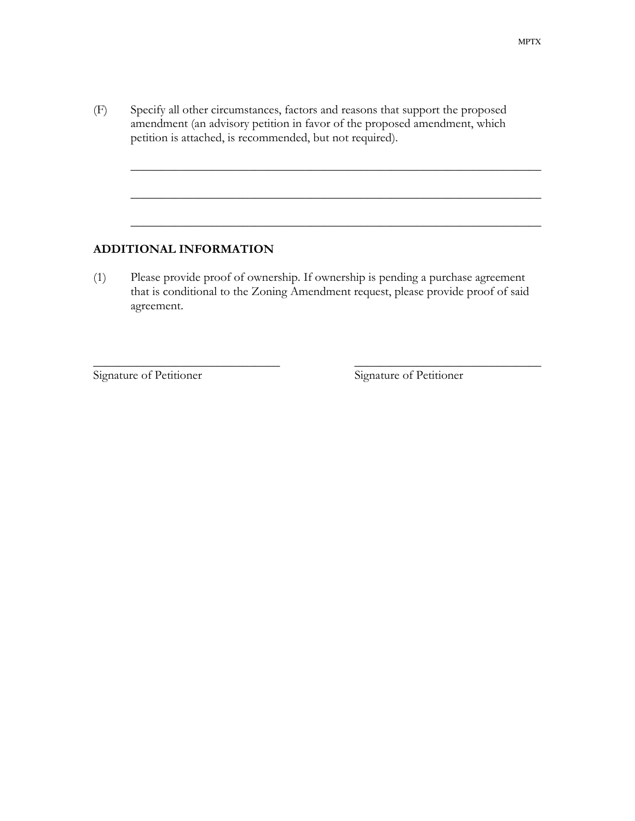(F) Specify all other circumstances, factors and reasons that support the proposed amendment (an advisory petition in favor of the proposed amendment, which petition is attached, is recommended, but not required).

 $\mathcal{L}=\mathcal{L}=\mathcal{L}=\mathcal{L}=\mathcal{L}=\mathcal{L}=\mathcal{L}=\mathcal{L}=\mathcal{L}=\mathcal{L}=\mathcal{L}=\mathcal{L}=\mathcal{L}=\mathcal{L}=\mathcal{L}=\mathcal{L}=\mathcal{L}=\mathcal{L}=\mathcal{L}=\mathcal{L}=\mathcal{L}=\mathcal{L}=\mathcal{L}=\mathcal{L}=\mathcal{L}=\mathcal{L}=\mathcal{L}=\mathcal{L}=\mathcal{L}=\mathcal{L}=\mathcal{L}=\mathcal{L}=\mathcal{L}=\mathcal{L}=\mathcal{L}=\mathcal{L}=\mathcal{$ 

 $\mathcal{L}=\mathcal{L}=\mathcal{L}=\mathcal{L}=\mathcal{L}=\mathcal{L}=\mathcal{L}=\mathcal{L}=\mathcal{L}=\mathcal{L}=\mathcal{L}=\mathcal{L}=\mathcal{L}=\mathcal{L}=\mathcal{L}=\mathcal{L}=\mathcal{L}=\mathcal{L}=\mathcal{L}=\mathcal{L}=\mathcal{L}=\mathcal{L}=\mathcal{L}=\mathcal{L}=\mathcal{L}=\mathcal{L}=\mathcal{L}=\mathcal{L}=\mathcal{L}=\mathcal{L}=\mathcal{L}=\mathcal{L}=\mathcal{L}=\mathcal{L}=\mathcal{L}=\mathcal{L}=\mathcal{$ 

 $\mathcal{L}=\mathcal{L}=\mathcal{L}=\mathcal{L}=\mathcal{L}=\mathcal{L}=\mathcal{L}=\mathcal{L}=\mathcal{L}=\mathcal{L}=\mathcal{L}=\mathcal{L}=\mathcal{L}=\mathcal{L}=\mathcal{L}=\mathcal{L}=\mathcal{L}=\mathcal{L}=\mathcal{L}=\mathcal{L}=\mathcal{L}=\mathcal{L}=\mathcal{L}=\mathcal{L}=\mathcal{L}=\mathcal{L}=\mathcal{L}=\mathcal{L}=\mathcal{L}=\mathcal{L}=\mathcal{L}=\mathcal{L}=\mathcal{L}=\mathcal{L}=\mathcal{L}=\mathcal{L}=\mathcal{$ 

#### ADDITIONAL INFORMATION

(1) Please provide proof of ownership. If ownership is pending a purchase agreement that is conditional to the Zoning Amendment request, please provide proof of said agreement.

\_\_\_\_\_\_\_\_\_\_\_\_\_\_\_\_\_\_\_\_\_\_\_\_\_\_\_\_\_\_ \_\_\_\_\_\_\_\_\_\_\_\_\_\_\_\_\_\_\_\_\_\_\_\_\_\_\_\_\_\_

Signature of Petitioner Signature of Petitioner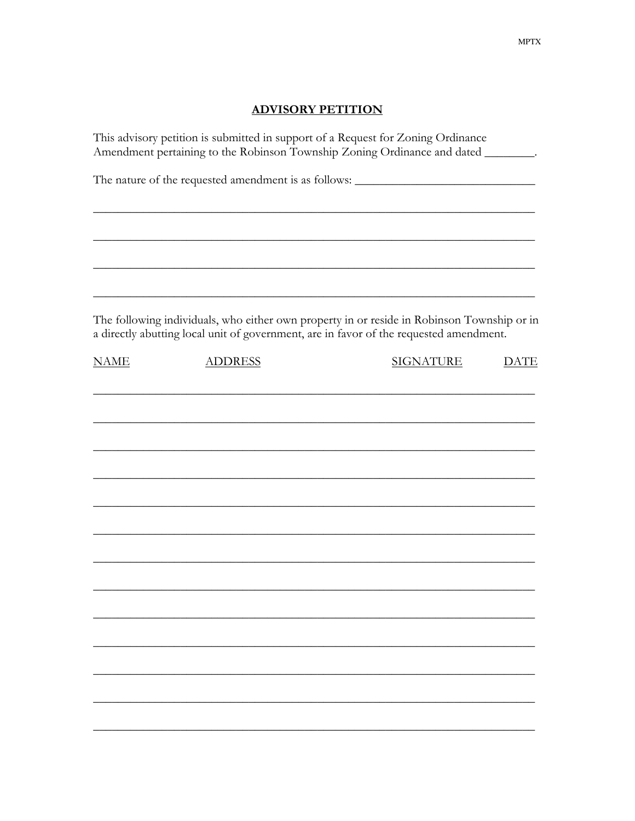## **ADVISORY PETITION**

| This advisory petition is submitted in support of a Request for Zoning Ordinance<br>Amendment pertaining to the Robinson Township Zoning Ordinance and dated |                |                                                                                                                                                                                      |             |  |  |
|--------------------------------------------------------------------------------------------------------------------------------------------------------------|----------------|--------------------------------------------------------------------------------------------------------------------------------------------------------------------------------------|-------------|--|--|
|                                                                                                                                                              |                | The nature of the requested amendment is as follows: ____________________________                                                                                                    |             |  |  |
|                                                                                                                                                              |                |                                                                                                                                                                                      |             |  |  |
|                                                                                                                                                              |                |                                                                                                                                                                                      |             |  |  |
|                                                                                                                                                              |                |                                                                                                                                                                                      |             |  |  |
|                                                                                                                                                              |                |                                                                                                                                                                                      |             |  |  |
|                                                                                                                                                              |                | The following individuals, who either own property in or reside in Robinson Township or in<br>a directly abutting local unit of government, are in favor of the requested amendment. |             |  |  |
| <b>NAME</b>                                                                                                                                                  | <b>ADDRESS</b> | <b>SIGNATURE</b>                                                                                                                                                                     | <u>DATE</u> |  |  |
|                                                                                                                                                              |                |                                                                                                                                                                                      |             |  |  |
|                                                                                                                                                              |                |                                                                                                                                                                                      |             |  |  |
|                                                                                                                                                              |                |                                                                                                                                                                                      |             |  |  |
|                                                                                                                                                              |                |                                                                                                                                                                                      |             |  |  |
|                                                                                                                                                              |                |                                                                                                                                                                                      |             |  |  |
|                                                                                                                                                              |                |                                                                                                                                                                                      |             |  |  |
|                                                                                                                                                              |                |                                                                                                                                                                                      |             |  |  |
|                                                                                                                                                              |                |                                                                                                                                                                                      |             |  |  |
|                                                                                                                                                              |                |                                                                                                                                                                                      |             |  |  |
|                                                                                                                                                              |                |                                                                                                                                                                                      |             |  |  |
|                                                                                                                                                              |                |                                                                                                                                                                                      |             |  |  |
|                                                                                                                                                              |                |                                                                                                                                                                                      |             |  |  |
|                                                                                                                                                              |                |                                                                                                                                                                                      |             |  |  |
|                                                                                                                                                              |                |                                                                                                                                                                                      |             |  |  |